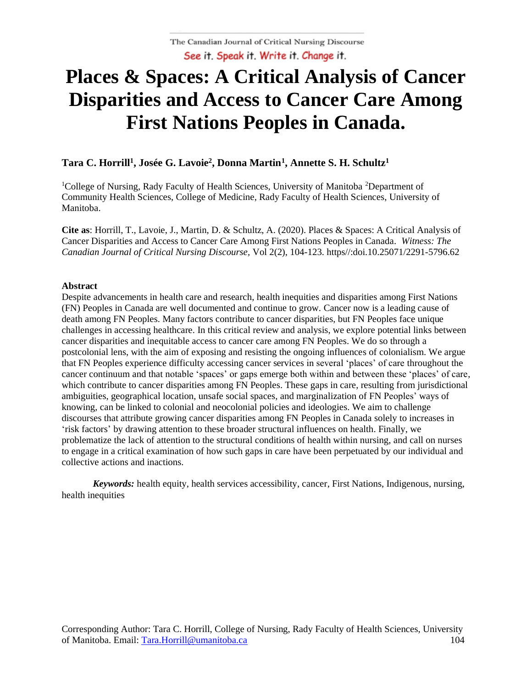# **Places & Spaces: A Critical Analysis of Cancer Disparities and Access to Cancer Care Among First Nations Peoples in Canada.**

# **Tara C. Horrill<sup>1</sup> , Josée G. Lavoie<sup>2</sup> , Donna Martin<sup>1</sup> , Annette S. H. Schultz<sup>1</sup>**

<sup>1</sup>College of Nursing, Rady Faculty of Health Sciences, University of Manitoba <sup>2</sup>Department of Community Health Sciences, College of Medicine, Rady Faculty of Health Sciences, University of Manitoba.

**Cite as**: Horrill, T., Lavoie, J., Martin, D. & Schultz, A. (2020). Places & Spaces: A Critical Analysis of Cancer Disparities and Access to Cancer Care Among First Nations Peoples in Canada. *Witness: The Canadian Journal of Critical Nursing Discourse,* Vol 2(2), 104-123. https//:doi.10.25071/2291-5796.62

#### **Abstract**

Despite advancements in health care and research, health inequities and disparities among First Nations (FN) Peoples in Canada are well documented and continue to grow. Cancer now is a leading cause of death among FN Peoples. Many factors contribute to cancer disparities, but FN Peoples face unique challenges in accessing healthcare. In this critical review and analysis, we explore potential links between cancer disparities and inequitable access to cancer care among FN Peoples. We do so through a postcolonial lens, with the aim of exposing and resisting the ongoing influences of colonialism. We argue that FN Peoples experience difficulty accessing cancer services in several 'places' of care throughout the cancer continuum and that notable 'spaces' or gaps emerge both within and between these 'places' of care, which contribute to cancer disparities among FN Peoples. These gaps in care, resulting from jurisdictional ambiguities, geographical location, unsafe social spaces, and marginalization of FN Peoples' ways of knowing, can be linked to colonial and neocolonial policies and ideologies. We aim to challenge discourses that attribute growing cancer disparities among FN Peoples in Canada solely to increases in 'risk factors' by drawing attention to these broader structural influences on health. Finally, we problematize the lack of attention to the structural conditions of health within nursing, and call on nurses to engage in a critical examination of how such gaps in care have been perpetuated by our individual and collective actions and inactions.

*Keywords:* health equity, health services accessibility, cancer, First Nations, Indigenous, nursing, health inequities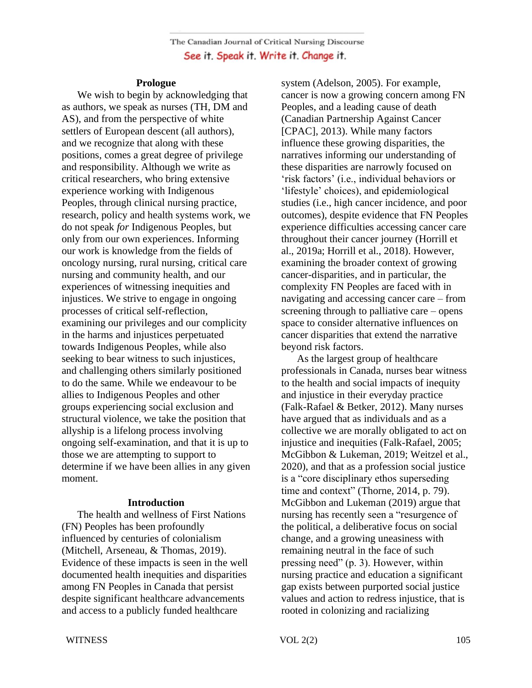#### **Prologue**

 We wish to begin by acknowledging that as authors, we speak as nurses (TH, DM and AS), and from the perspective of white settlers of European descent (all authors), and we recognize that along with these positions, comes a great degree of privilege and responsibility. Although we write as critical researchers, who bring extensive experience working with Indigenous Peoples, through clinical nursing practice, research, policy and health systems work, we do not speak *for* Indigenous Peoples, but only from our own experiences. Informing our work is knowledge from the fields of oncology nursing, rural nursing, critical care nursing and community health, and our experiences of witnessing inequities and injustices. We strive to engage in ongoing processes of critical self-reflection, examining our privileges and our complicity in the harms and injustices perpetuated towards Indigenous Peoples, while also seeking to bear witness to such injustices, and challenging others similarly positioned to do the same. While we endeavour to be allies to Indigenous Peoples and other groups experiencing social exclusion and structural violence, we take the position that allyship is a lifelong process involving ongoing self-examination, and that it is up to those we are attempting to support to determine if we have been allies in any given moment.

#### **Introduction**

 The health and wellness of First Nations (FN) Peoples has been profoundly influenced by centuries of colonialism (Mitchell, Arseneau, & Thomas, 2019). Evidence of these impacts is seen in the well documented health inequities and disparities among FN Peoples in Canada that persist despite significant healthcare advancements and access to a publicly funded healthcare

system (Adelson, 2005). For example, cancer is now a growing concern among FN Peoples, and a leading cause of death (Canadian Partnership Against Cancer [CPAC], 2013). While many factors influence these growing disparities, the narratives informing our understanding of these disparities are narrowly focused on 'risk factors' (i.e., individual behaviors or 'lifestyle' choices), and epidemiological studies (i.e., high cancer incidence, and poor outcomes), despite evidence that FN Peoples experience difficulties accessing cancer care throughout their cancer journey (Horrill et al., 2019a; Horrill et al., 2018). However, examining the broader context of growing cancer-disparities, and in particular, the complexity FN Peoples are faced with in navigating and accessing cancer care – from screening through to palliative care – opens space to consider alternative influences on cancer disparities that extend the narrative beyond risk factors.

As the largest group of healthcare professionals in Canada, nurses bear witness to the health and social impacts of inequity and injustice in their everyday practice (Falk-Rafael & Betker, 2012). Many nurses have argued that as individuals and as a collective we are morally obligated to act on injustice and inequities (Falk-Rafael, 2005; McGibbon & Lukeman, 2019; Weitzel et al., 2020), and that as a profession social justice is a "core disciplinary ethos superseding time and context" (Thorne, 2014, p. 79). McGibbon and Lukeman (2019) argue that nursing has recently seen a "resurgence of the political, a deliberative focus on social change, and a growing uneasiness with remaining neutral in the face of such pressing need" (p. 3). However, within nursing practice and education a significant gap exists between purported social justice values and action to redress injustice, that is rooted in colonizing and racializing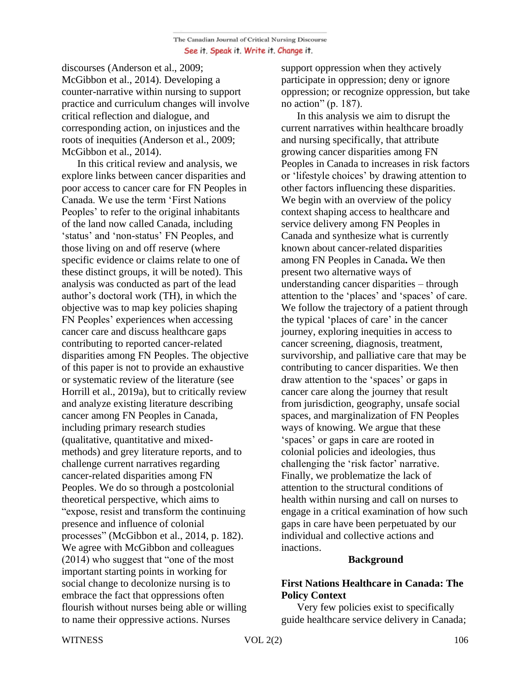discourses (Anderson et al., 2009; McGibbon et al., 2014). Developing a counter-narrative within nursing to support practice and curriculum changes will involve critical reflection and dialogue, and corresponding action, on injustices and the roots of inequities (Anderson et al., 2009; McGibbon et al., 2014).

In this critical review and analysis, we explore links between cancer disparities and poor access to cancer care for FN Peoples in Canada. We use the term 'First Nations Peoples' to refer to the original inhabitants of the land now called Canada, including 'status' and 'non-status' FN Peoples, and those living on and off reserve (where specific evidence or claims relate to one of these distinct groups, it will be noted). This analysis was conducted as part of the lead author's doctoral work (TH), in which the objective was to map key policies shaping FN Peoples' experiences when accessing cancer care and discuss healthcare gaps contributing to reported cancer-related disparities among FN Peoples. The objective of this paper is not to provide an exhaustive or systematic review of the literature (see Horrill et al., 2019a), but to critically review and analyze existing literature describing cancer among FN Peoples in Canada, including primary research studies (qualitative, quantitative and mixedmethods) and grey literature reports, and to challenge current narratives regarding cancer-related disparities among FN Peoples. We do so through a postcolonial theoretical perspective, which aims to "expose, resist and transform the continuing presence and influence of colonial processes" (McGibbon et al., 2014, p. 182). We agree with McGibbon and colleagues (2014) who suggest that "one of the most important starting points in working for social change to decolonize nursing is to embrace the fact that oppressions often flourish without nurses being able or willing to name their oppressive actions. Nurses

support oppression when they actively participate in oppression; deny or ignore oppression; or recognize oppression, but take no action" (p. 187).

In this analysis we aim to disrupt the current narratives within healthcare broadly and nursing specifically, that attribute growing cancer disparities among FN Peoples in Canada to increases in risk factors or 'lifestyle choices' by drawing attention to other factors influencing these disparities. We begin with an overview of the policy context shaping access to healthcare and service delivery among FN Peoples in Canada and synthesize what is currently known about cancer-related disparities among FN Peoples in Canada**.** We then present two alternative ways of understanding cancer disparities – through attention to the 'places' and 'spaces' of care. We follow the trajectory of a patient through the typical 'places of care' in the cancer journey, exploring inequities in access to cancer screening, diagnosis, treatment, survivorship, and palliative care that may be contributing to cancer disparities. We then draw attention to the 'spaces' or gaps in cancer care along the journey that result from jurisdiction, geography, unsafe social spaces, and marginalization of FN Peoples ways of knowing. We argue that these 'spaces' or gaps in care are rooted in colonial policies and ideologies, thus challenging the 'risk factor' narrative. Finally, we problematize the lack of attention to the structural conditions of health within nursing and call on nurses to engage in a critical examination of how such gaps in care have been perpetuated by our individual and collective actions and inactions.

#### **Background**

# **First Nations Healthcare in Canada: The Policy Context**

 Very few policies exist to specifically guide healthcare service delivery in Canada;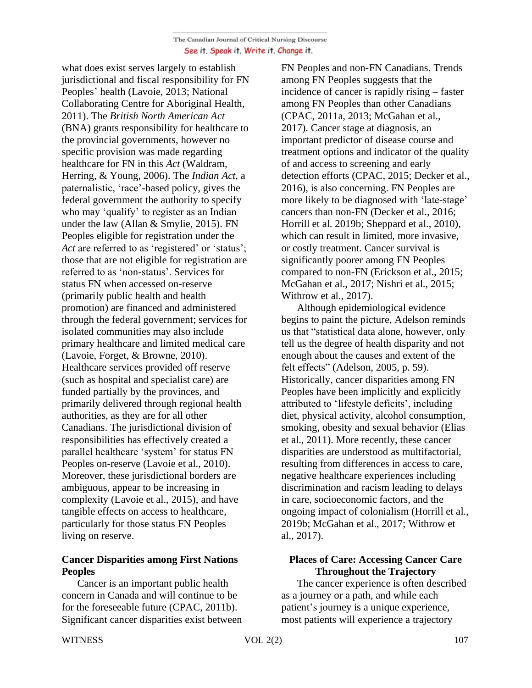what does exist serves largely to establish jurisdictional and fiscal responsibility for FN Peoples' health (Lavoie, 2013; National Collaborating Centre for Aboriginal Health, 2011). The *British North American Act* (BNA) grants responsibility for healthcare to the provincial governments, however no specific provision was made regarding healthcare for FN in this *Act* (Waldram, Herring, & Young, 2006). The *Indian Act*, a paternalistic, 'race'-based policy, gives the federal government the authority to specify who may 'qualify' to register as an Indian under the law (Allan & Smylie, 2015). FN Peoples eligible for registration under the Act are referred to as 'registered' or 'status'; those that are not eligible for registration are referred to as 'non-status'. Services for status FN when accessed on-reserve (primarily public health and health promotion) are financed and administered through the federal government; services for isolated communities may also include primary healthcare and limited medical care (Lavoie, Forget, & Browne, 2010). Healthcare services provided off reserve (such as hospital and specialist care) are funded partially by the provinces, and primarily delivered through regional health authorities, as they are for all other Canadians. The jurisdictional division of responsibilities has effectively created a parallel healthcare 'system' for status FN Peoples on-reserve (Lavoie et al., 2010). Moreover, these jurisdictional borders are ambiguous, appear to be increasing in complexity (Lavoie et al., 2015), and have tangible effects on access to healthcare, particularly for those status FN Peoples living on reserve.

# **Cancer Disparities among First Nations Peoples**

 Cancer is an important public health concern in Canada and will continue to be for the foreseeable future (CPAC, 2011b). Significant cancer disparities exist between FN Peoples and non-FN Canadians. Trends among FN Peoples suggests that the incidence of cancer is rapidly rising – faster among FN Peoples than other Canadians (CPAC, 2011a, 2013; McGahan et al., 2017). Cancer stage at diagnosis, an important predictor of disease course and treatment options and indicator of the quality of and access to screening and early detection efforts (CPAC, 2015; Decker et al., 2016), is also concerning. FN Peoples are more likely to be diagnosed with 'late-stage' cancers than non-FN (Decker et al., 2016; Horrill et al. 2019b; Sheppard et al., 2010), which can result in limited, more invasive, or costly treatment. Cancer survival is significantly poorer among FN Peoples compared to non-FN (Erickson et al., 2015; McGahan et al., 2017; Nishri et al., 2015; Withrow et al., 2017).

 Although epidemiological evidence begins to paint the picture, Adelson reminds us that "statistical data alone, however, only tell us the degree of health disparity and not enough about the causes and extent of the felt effects" (Adelson, 2005, p. 59). Historically, cancer disparities among FN Peoples have been implicitly and explicitly attributed to 'lifestyle deficits', including diet, physical activity, alcohol consumption, smoking, obesity and sexual behavior (Elias et al., 2011). More recently, these cancer disparities are understood as multifactorial, resulting from differences in access to care, negative healthcare experiences including discrimination and racism leading to delays in care, socioeconomic factors, and the ongoing impact of colonialism (Horrill et al., 2019b; McGahan et al., 2017; Withrow et al., 2017).

# **Places of Care: Accessing Cancer Care Throughout the Trajectory**

 The cancer experience is often described as a journey or a path, and while each patient's journey is a unique experience, most patients will experience a trajectory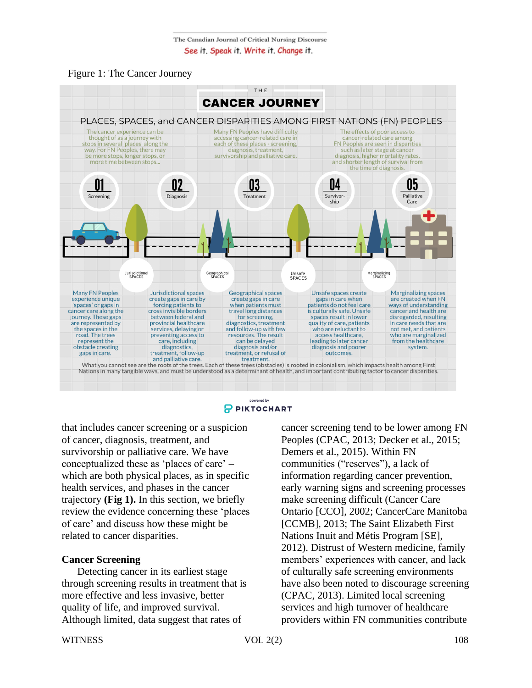



nowered by P PIKTOCHART

that includes cancer screening or a suspicion of cancer, diagnosis, treatment, and survivorship or palliative care. We have conceptualized these as 'places of care' – which are both physical places, as in specific health services, and phases in the cancer trajectory **(Fig 1).** In this section, we briefly review the evidence concerning these 'places of care' and discuss how these might be related to cancer disparities.

# **Cancer Screening**

 Detecting cancer in its earliest stage through screening results in treatment that is more effective and less invasive, better quality of life, and improved survival. Although limited, data suggest that rates of

cancer screening tend to be lower among FN Peoples (CPAC, 2013; Decker et al., 2015; Demers et al., 2015). Within FN communities ("reserves"), a lack of information regarding cancer prevention, early warning signs and screening processes make screening difficult (Cancer Care Ontario [CCO], 2002; CancerCare Manitoba [CCMB], 2013; The Saint Elizabeth First Nations Inuit and Métis Program [SE], 2012). Distrust of Western medicine, family members' experiences with cancer, and lack of culturally safe screening environments have also been noted to discourage screening (CPAC, 2013). Limited local screening services and high turnover of healthcare providers within FN communities contribute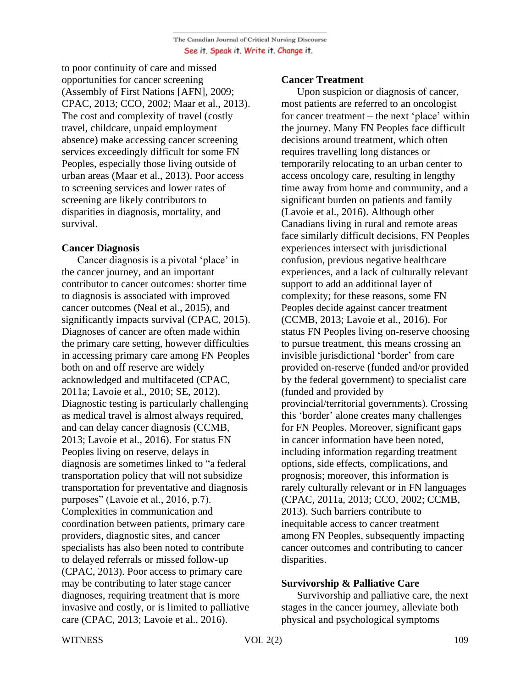to poor continuity of care and missed opportunities for cancer screening (Assembly of First Nations [AFN], 2009; CPAC, 2013; CCO, 2002; Maar et al., 2013). The cost and complexity of travel (costly travel, childcare, unpaid employment absence) make accessing cancer screening services exceedingly difficult for some FN Peoples, especially those living outside of urban areas (Maar et al., 2013). Poor access to screening services and lower rates of screening are likely contributors to disparities in diagnosis, mortality, and survival.

# **Cancer Diagnosis**

 Cancer diagnosis is a pivotal 'place' in the cancer journey, and an important contributor to cancer outcomes: shorter time to diagnosis is associated with improved cancer outcomes (Neal et al., 2015), and significantly impacts survival (CPAC, 2015). Diagnoses of cancer are often made within the primary care setting, however difficulties in accessing primary care among FN Peoples both on and off reserve are widely acknowledged and multifaceted (CPAC, 2011a; Lavoie et al., 2010; SE, 2012). Diagnostic testing is particularly challenging as medical travel is almost always required, and can delay cancer diagnosis (CCMB, 2013; Lavoie et al., 2016). For status FN Peoples living on reserve, delays in diagnosis are sometimes linked to "a federal transportation policy that will not subsidize transportation for preventative and diagnosis purposes" (Lavoie et al., 2016, p.7). Complexities in communication and coordination between patients, primary care providers, diagnostic sites, and cancer specialists has also been noted to contribute to delayed referrals or missed follow-up (CPAC, 2013). Poor access to primary care may be contributing to later stage cancer diagnoses, requiring treatment that is more invasive and costly, or is limited to palliative care (CPAC, 2013; Lavoie et al., 2016).

## **Cancer Treatment**

 Upon suspicion or diagnosis of cancer, most patients are referred to an oncologist for cancer treatment – the next 'place' within the journey. Many FN Peoples face difficult decisions around treatment, which often requires travelling long distances or temporarily relocating to an urban center to access oncology care, resulting in lengthy time away from home and community, and a significant burden on patients and family (Lavoie et al., 2016). Although other Canadians living in rural and remote areas face similarly difficult decisions, FN Peoples experiences intersect with jurisdictional confusion, previous negative healthcare experiences, and a lack of culturally relevant support to add an additional layer of complexity; for these reasons, some FN Peoples decide against cancer treatment (CCMB, 2013; Lavoie et al., 2016). For status FN Peoples living on-reserve choosing to pursue treatment, this means crossing an invisible jurisdictional 'border' from care provided on-reserve (funded and/or provided by the federal government) to specialist care (funded and provided by provincial/territorial governments). Crossing this 'border' alone creates many challenges for FN Peoples. Moreover, significant gaps in cancer information have been noted, including information regarding treatment options, side effects, complications, and prognosis; moreover, this information is rarely culturally relevant or in FN languages (CPAC, 2011a, 2013; CCO, 2002; CCMB, 2013). Such barriers contribute to inequitable access to cancer treatment among FN Peoples, subsequently impacting cancer outcomes and contributing to cancer disparities.

# **Survivorship & Palliative Care**

 Survivorship and palliative care, the next stages in the cancer journey, alleviate both physical and psychological symptoms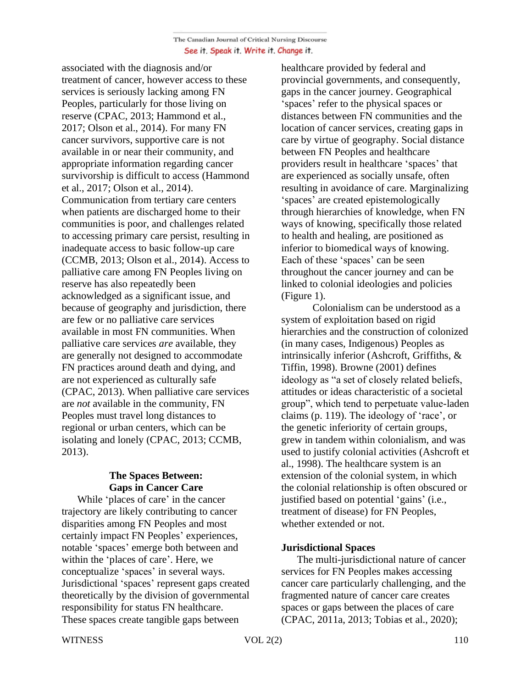associated with the diagnosis and/or treatment of cancer, however access to these services is seriously lacking among FN Peoples, particularly for those living on reserve (CPAC, 2013; Hammond et al., 2017; Olson et al., 2014). For many FN cancer survivors, supportive care is not available in or near their community, and appropriate information regarding cancer survivorship is difficult to access (Hammond et al., 2017; Olson et al., 2014). Communication from tertiary care centers when patients are discharged home to their communities is poor, and challenges related to accessing primary care persist, resulting in inadequate access to basic follow-up care (CCMB, 2013; Olson et al., 2014). Access to palliative care among FN Peoples living on reserve has also repeatedly been acknowledged as a significant issue, and because of geography and jurisdiction, there are few or no palliative care services available in most FN communities. When palliative care services *are* available, they are generally not designed to accommodate FN practices around death and dying, and are not experienced as culturally safe (CPAC, 2013). When palliative care services are *not* available in the community, FN Peoples must travel long distances to regional or urban centers, which can be isolating and lonely (CPAC, 2013; CCMB, 2013).

# **The Spaces Between: Gaps in Cancer Care**

 While 'places of care' in the cancer trajectory are likely contributing to cancer disparities among FN Peoples and most certainly impact FN Peoples' experiences, notable 'spaces' emerge both between and within the 'places of care'. Here, we conceptualize 'spaces' in several ways. Jurisdictional 'spaces' represent gaps created theoretically by the division of governmental responsibility for status FN healthcare. These spaces create tangible gaps between

healthcare provided by federal and provincial governments, and consequently, gaps in the cancer journey. Geographical 'spaces' refer to the physical spaces or distances between FN communities and the location of cancer services, creating gaps in care by virtue of geography. Social distance between FN Peoples and healthcare providers result in healthcare 'spaces' that are experienced as socially unsafe, often resulting in avoidance of care. Marginalizing 'spaces' are created epistemologically through hierarchies of knowledge, when FN ways of knowing, specifically those related to health and healing, are positioned as inferior to biomedical ways of knowing. Each of these 'spaces' can be seen throughout the cancer journey and can be linked to colonial ideologies and policies (Figure 1).

Colonialism can be understood as a system of exploitation based on rigid hierarchies and the construction of colonized (in many cases, Indigenous) Peoples as intrinsically inferior (Ashcroft, Griffiths, & Tiffin, 1998). Browne (2001) defines ideology as "a set of closely related beliefs, attitudes or ideas characteristic of a societal group", which tend to perpetuate value-laden claims (p. 119). The ideology of 'race', or the genetic inferiority of certain groups, grew in tandem within colonialism, and was used to justify colonial activities (Ashcroft et al., 1998). The healthcare system is an extension of the colonial system, in which the colonial relationship is often obscured or justified based on potential 'gains' (i.e., treatment of disease) for FN Peoples, whether extended or not.

# **Jurisdictional Spaces**

 The multi-jurisdictional nature of cancer services for FN Peoples makes accessing cancer care particularly challenging, and the fragmented nature of cancer care creates spaces or gaps between the places of care (CPAC, 2011a, 2013; Tobias et al., 2020);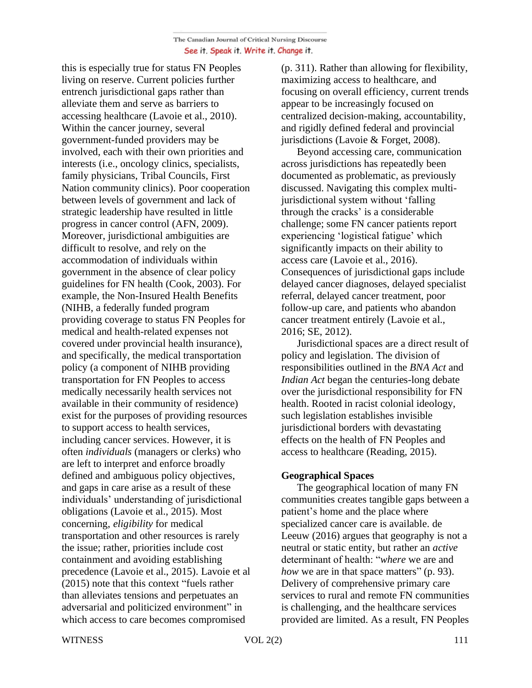this is especially true for status FN Peoples living on reserve. Current policies further entrench jurisdictional gaps rather than alleviate them and serve as barriers to accessing healthcare (Lavoie et al., 2010). Within the cancer journey, several government-funded providers may be involved, each with their own priorities and interests (i.e., oncology clinics, specialists, family physicians, Tribal Councils, First Nation community clinics). Poor cooperation between levels of government and lack of strategic leadership have resulted in little progress in cancer control (AFN, 2009). Moreover, jurisdictional ambiguities are difficult to resolve, and rely on the accommodation of individuals within government in the absence of clear policy guidelines for FN health (Cook, 2003). For example, the Non-Insured Health Benefits (NIHB, a federally funded program providing coverage to status FN Peoples for medical and health-related expenses not covered under provincial health insurance), and specifically, the medical transportation policy (a component of NIHB providing transportation for FN Peoples to access medically necessarily health services not available in their community of residence) exist for the purposes of providing resources to support access to health services, including cancer services. However, it is often *individuals* (managers or clerks) who are left to interpret and enforce broadly defined and ambiguous policy objectives, and gaps in care arise as a result of these individuals' understanding of jurisdictional obligations (Lavoie et al., 2015). Most concerning, *eligibility* for medical transportation and other resources is rarely the issue; rather, priorities include cost containment and avoiding establishing precedence (Lavoie et al., 2015). Lavoie et al (2015) note that this context "fuels rather than alleviates tensions and perpetuates an adversarial and politicized environment" in which access to care becomes compromised

(p. 311). Rather than allowing for flexibility, maximizing access to healthcare, and focusing on overall efficiency, current trends appear to be increasingly focused on centralized decision-making, accountability, and rigidly defined federal and provincial jurisdictions (Lavoie & Forget, 2008).

 Beyond accessing care, communication across jurisdictions has repeatedly been documented as problematic, as previously discussed. Navigating this complex multijurisdictional system without 'falling through the cracks' is a considerable challenge; some FN cancer patients report experiencing 'logistical fatigue' which significantly impacts on their ability to access care (Lavoie et al., 2016). Consequences of jurisdictional gaps include delayed cancer diagnoses, delayed specialist referral, delayed cancer treatment, poor follow-up care, and patients who abandon cancer treatment entirely (Lavoie et al., 2016; SE, 2012).

 Jurisdictional spaces are a direct result of policy and legislation. The division of responsibilities outlined in the *BNA Act* and *Indian Act* began the centuries-long debate over the jurisdictional responsibility for FN health. Rooted in racist colonial ideology, such legislation establishes invisible jurisdictional borders with devastating effects on the health of FN Peoples and access to healthcare (Reading, 2015).

# **Geographical Spaces**

 The geographical location of many FN communities creates tangible gaps between a patient's home and the place where specialized cancer care is available. de Leeuw (2016) argues that geography is not a neutral or static entity, but rather an *active*  determinant of health: "*where* we are and *how* we are in that space matters" (p. 93). Delivery of comprehensive primary care services to rural and remote FN communities is challenging, and the healthcare services provided are limited. As a result, FN Peoples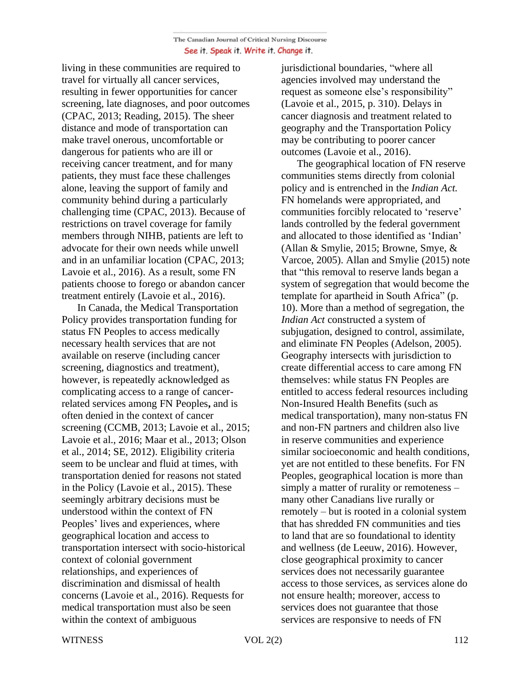living in these communities are required to travel for virtually all cancer services, resulting in fewer opportunities for cancer screening, late diagnoses, and poor outcomes (CPAC, 2013; Reading, 2015). The sheer distance and mode of transportation can make travel onerous, uncomfortable or dangerous for patients who are ill or receiving cancer treatment, and for many patients, they must face these challenges alone, leaving the support of family and community behind during a particularly challenging time (CPAC, 2013). Because of restrictions on travel coverage for family members through NIHB, patients are left to advocate for their own needs while unwell and in an unfamiliar location (CPAC, 2013; Lavoie et al., 2016). As a result, some FN patients choose to forego or abandon cancer treatment entirely (Lavoie et al., 2016).

 In Canada, the Medical Transportation Policy provides transportation funding for status FN Peoples to access medically necessary health services that are not available on reserve (including cancer screening, diagnostics and treatment), however, is repeatedly acknowledged as complicating access to a range of cancerrelated services among FN Peoples**,** and is often denied in the context of cancer screening (CCMB, 2013; Lavoie et al., 2015; Lavoie et al., 2016; Maar et al., 2013; Olson et al., 2014; SE, 2012). Eligibility criteria seem to be unclear and fluid at times, with transportation denied for reasons not stated in the Policy (Lavoie et al., 2015). These seemingly arbitrary decisions must be understood within the context of FN Peoples' lives and experiences, where geographical location and access to transportation intersect with socio-historical context of colonial government relationships, and experiences of discrimination and dismissal of health concerns (Lavoie et al., 2016). Requests for medical transportation must also be seen within the context of ambiguous

jurisdictional boundaries, "where all agencies involved may understand the request as someone else's responsibility" (Lavoie et al., 2015, p. 310). Delays in cancer diagnosis and treatment related to geography and the Transportation Policy may be contributing to poorer cancer outcomes (Lavoie et al., 2016).

 The geographical location of FN reserve communities stems directly from colonial policy and is entrenched in the *Indian Act.* FN homelands were appropriated, and communities forcibly relocated to 'reserve' lands controlled by the federal government and allocated to those identified as 'Indian' (Allan & Smylie, 2015; Browne, Smye, & Varcoe, 2005). Allan and Smylie (2015) note that "this removal to reserve lands began a system of segregation that would become the template for apartheid in South Africa" (p. 10). More than a method of segregation, the *Indian Act* constructed a system of subjugation, designed to control, assimilate, and eliminate FN Peoples (Adelson, 2005). Geography intersects with jurisdiction to create differential access to care among FN themselves: while status FN Peoples are entitled to access federal resources including Non-Insured Health Benefits (such as medical transportation), many non-status FN and non-FN partners and children also live in reserve communities and experience similar socioeconomic and health conditions, yet are not entitled to these benefits. For FN Peoples, geographical location is more than simply a matter of rurality or remoteness – many other Canadians live rurally or remotely – but is rooted in a colonial system that has shredded FN communities and ties to land that are so foundational to identity and wellness (de Leeuw, 2016). However, close geographical proximity to cancer services does not necessarily guarantee access to those services, as services alone do not ensure health; moreover, access to services does not guarantee that those services are responsive to needs of FN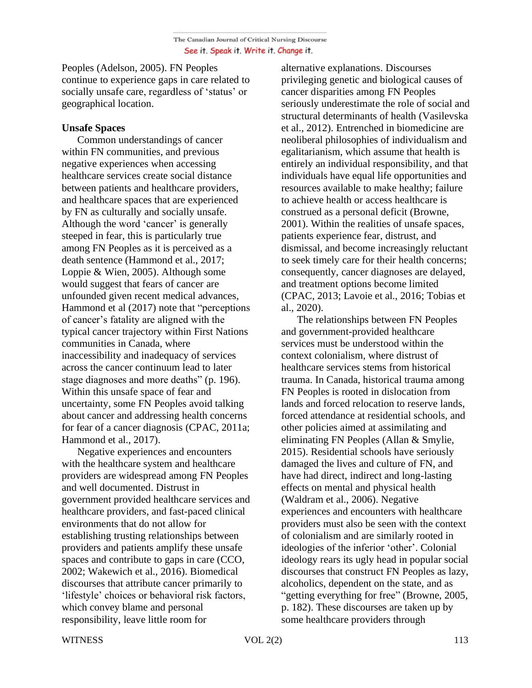Peoples (Adelson, 2005). FN Peoples continue to experience gaps in care related to socially unsafe care, regardless of 'status' or geographical location.

# **Unsafe Spaces**

 Common understandings of cancer within FN communities, and previous negative experiences when accessing healthcare services create social distance between patients and healthcare providers, and healthcare spaces that are experienced by FN as culturally and socially unsafe. Although the word 'cancer' is generally steeped in fear, this is particularly true among FN Peoples as it is perceived as a death sentence (Hammond et al., 2017; Loppie & Wien, 2005). Although some would suggest that fears of cancer are unfounded given recent medical advances, Hammond et al (2017) note that "perceptions of cancer's fatality are aligned with the typical cancer trajectory within First Nations communities in Canada, where inaccessibility and inadequacy of services across the cancer continuum lead to later stage diagnoses and more deaths" (p. 196). Within this unsafe space of fear and uncertainty, some FN Peoples avoid talking about cancer and addressing health concerns for fear of a cancer diagnosis (CPAC, 2011a; Hammond et al., 2017).

 Negative experiences and encounters with the healthcare system and healthcare providers are widespread among FN Peoples and well documented. Distrust in government provided healthcare services and healthcare providers, and fast-paced clinical environments that do not allow for establishing trusting relationships between providers and patients amplify these unsafe spaces and contribute to gaps in care (CCO, 2002; Wakewich et al., 2016). Biomedical discourses that attribute cancer primarily to 'lifestyle' choices or behavioral risk factors, which convey blame and personal responsibility, leave little room for

alternative explanations. Discourses privileging genetic and biological causes of cancer disparities among FN Peoples seriously underestimate the role of social and structural determinants of health (Vasilevska et al., 2012). Entrenched in biomedicine are neoliberal philosophies of individualism and egalitarianism, which assume that health is entirely an individual responsibility, and that individuals have equal life opportunities and resources available to make healthy; failure to achieve health or access healthcare is construed as a personal deficit (Browne, 2001). Within the realities of unsafe spaces, patients experience fear, distrust, and dismissal, and become increasingly reluctant to seek timely care for their health concerns; consequently, cancer diagnoses are delayed, and treatment options become limited (CPAC, 2013; Lavoie et al., 2016; Tobias et al., 2020).

 The relationships between FN Peoples and government-provided healthcare services must be understood within the context colonialism, where distrust of healthcare services stems from historical trauma. In Canada, historical trauma among FN Peoples is rooted in dislocation from lands and forced relocation to reserve lands, forced attendance at residential schools, and other policies aimed at assimilating and eliminating FN Peoples (Allan & Smylie, 2015). Residential schools have seriously damaged the lives and culture of FN, and have had direct, indirect and long-lasting effects on mental and physical health (Waldram et al., 2006). Negative experiences and encounters with healthcare providers must also be seen with the context of colonialism and are similarly rooted in ideologies of the inferior 'other'. Colonial ideology rears its ugly head in popular social discourses that construct FN Peoples as lazy, alcoholics, dependent on the state, and as "getting everything for free" (Browne, 2005, p. 182). These discourses are taken up by some healthcare providers through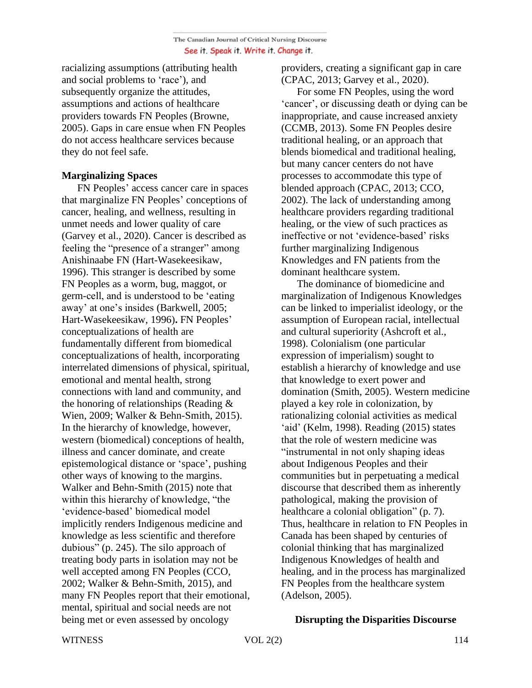racializing assumptions (attributing health and social problems to 'race'), and subsequently organize the attitudes, assumptions and actions of healthcare providers towards FN Peoples (Browne, 2005). Gaps in care ensue when FN Peoples do not access healthcare services because they do not feel safe.

# **Marginalizing Spaces**

 FN Peoples' access cancer care in spaces that marginalize FN Peoples' conceptions of cancer, healing, and wellness, resulting in unmet needs and lower quality of care (Garvey et al., 2020). Cancer is described as feeling the "presence of a stranger" among Anishinaabe FN (Hart-Wasekeesikaw, 1996). This stranger is described by some FN Peoples as a worm, bug, maggot, or germ-cell, and is understood to be 'eating away' at one's insides (Barkwell, 2005; Hart-Wasekeesikaw, 1996)**.** FN Peoples' conceptualizations of health are fundamentally different from biomedical conceptualizations of health, incorporating interrelated dimensions of physical, spiritual, emotional and mental health, strong connections with land and community, and the honoring of relationships (Reading & Wien, 2009; Walker & Behn-Smith, 2015). In the hierarchy of knowledge, however, western (biomedical) conceptions of health, illness and cancer dominate, and create epistemological distance or 'space', pushing other ways of knowing to the margins. Walker and Behn-Smith (2015) note that within this hierarchy of knowledge, "the 'evidence-based' biomedical model implicitly renders Indigenous medicine and knowledge as less scientific and therefore dubious" (p. 245). The silo approach of treating body parts in isolation may not be well accepted among FN Peoples (CCO, 2002; Walker & Behn-Smith, 2015), and many FN Peoples report that their emotional, mental, spiritual and social needs are not being met or even assessed by oncology

providers, creating a significant gap in care (CPAC, 2013; Garvey et al., 2020).

 For some FN Peoples, using the word 'cancer', or discussing death or dying can be inappropriate, and cause increased anxiety (CCMB, 2013). Some FN Peoples desire traditional healing, or an approach that blends biomedical and traditional healing, but many cancer centers do not have processes to accommodate this type of blended approach (CPAC, 2013; CCO, 2002). The lack of understanding among healthcare providers regarding traditional healing, or the view of such practices as ineffective or not 'evidence-based' risks further marginalizing Indigenous Knowledges and FN patients from the dominant healthcare system.

 The dominance of biomedicine and marginalization of Indigenous Knowledges can be linked to imperialist ideology, or the assumption of European racial, intellectual and cultural superiority (Ashcroft et al., 1998). Colonialism (one particular expression of imperialism) sought to establish a hierarchy of knowledge and use that knowledge to exert power and domination (Smith, 2005). Western medicine played a key role in colonization, by rationalizing colonial activities as medical 'aid' (Kelm, 1998). Reading (2015) states that the role of western medicine was "instrumental in not only shaping ideas about Indigenous Peoples and their communities but in perpetuating a medical discourse that described them as inherently pathological, making the provision of healthcare a colonial obligation" (p. 7). Thus, healthcare in relation to FN Peoples in Canada has been shaped by centuries of colonial thinking that has marginalized Indigenous Knowledges of health and healing, and in the process has marginalized FN Peoples from the healthcare system (Adelson, 2005).

# **Disrupting the Disparities Discourse**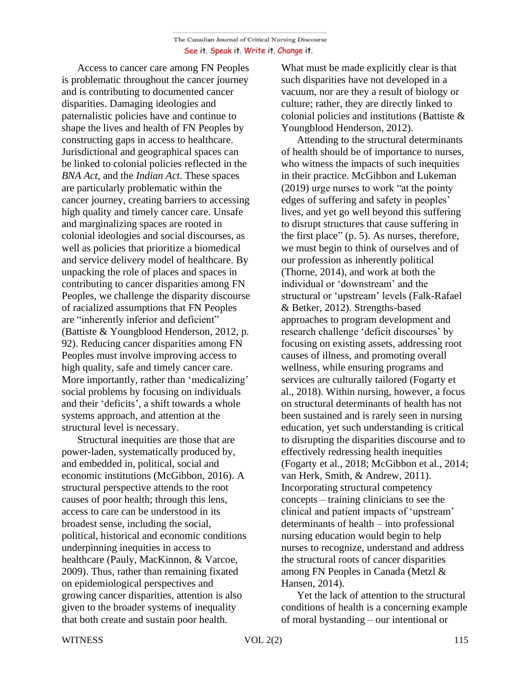Access to cancer care among FN Peoples is problematic throughout the cancer journey and is contributing to documented cancer disparities. Damaging ideologies and paternalistic policies have and continue to shape the lives and health of FN Peoples by constructing gaps in access to healthcare. Jurisdictional and geographical spaces can be linked to colonial policies reflected in the *BNA Act*, and the *Indian Act*. These spaces are particularly problematic within the cancer journey, creating barriers to accessing high quality and timely cancer care. Unsafe and marginalizing spaces are rooted in colonial ideologies and social discourses, as well as policies that prioritize a biomedical and service delivery model of healthcare. By unpacking the role of places and spaces in contributing to cancer disparities among FN Peoples, we challenge the disparity discourse of racialized assumptions that FN Peoples are "inherently inferior and deficient" (Battiste & Youngblood Henderson, 2012, p. 92). Reducing cancer disparities among FN Peoples must involve improving access to high quality, safe and timely cancer care. More importantly, rather than 'medicalizing' social problems by focusing on individuals and their 'deficits', a shift towards a whole systems approach, and attention at the structural level is necessary.

 Structural inequities are those that are power-laden, systematically produced by, and embedded in, political, social and economic institutions (McGibbon, 2016). A structural perspective attends to the root causes of poor health; through this lens, access to care can be understood in its broadest sense, including the social, political, historical and economic conditions underpinning inequities in access to healthcare (Pauly, MacKinnon, & Varcoe, 2009). Thus, rather than remaining fixated on epidemiological perspectives and growing cancer disparities, attention is also given to the broader systems of inequality that both create and sustain poor health.

What must be made explicitly clear is that such disparities have not developed in a vacuum, nor are they a result of biology or culture; rather, they are directly linked to colonial policies and institutions (Battiste & Youngblood Henderson, 2012).

 Attending to the structural determinants of health should be of importance to nurses, who witness the impacts of such inequities in their practice. McGibbon and Lukeman (2019) urge nurses to work "at the pointy edges of suffering and safety in peoples' lives, and yet go well beyond this suffering to disrupt structures that cause suffering in the first place" (p. 5). As nurses, therefore, we must begin to think of ourselves and of our profession as inherently political (Thorne, 2014), and work at both the individual or 'downstream' and the structural or 'upstream' levels (Falk-Rafael & Betker, 2012). Strengths-based approaches to program development and research challenge 'deficit discourses' by focusing on existing assets, addressing root causes of illness, and promoting overall wellness, while ensuring programs and services are culturally tailored (Fogarty et al., 2018). Within nursing, however, a focus on structural determinants of health has not been sustained and is rarely seen in nursing education, yet such understanding is critical to disrupting the disparities discourse and to effectively redressing health inequities (Fogarty et al., 2018; McGibbon et al., 2014; van Herk, Smith, & Andrew, 2011). Incorporating structural competency concepts – training clinicians to see the clinical and patient impacts of 'upstream' determinants of health – into professional nursing education would begin to help nurses to recognize, understand and address the structural roots of cancer disparities among FN Peoples in Canada (Metzl & Hansen, 2014).

 Yet the lack of attention to the structural conditions of health is a concerning example of moral bystanding – our intentional or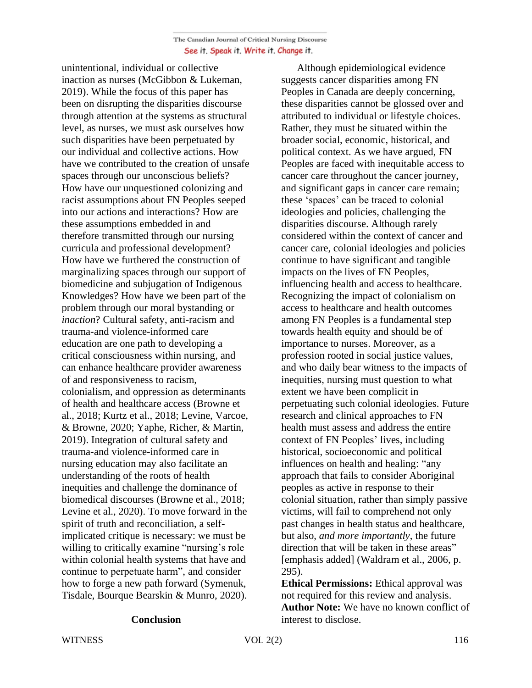unintentional, individual or collective inaction as nurses (McGibbon & Lukeman, 2019). While the focus of this paper has been on disrupting the disparities discourse through attention at the systems as structural level, as nurses, we must ask ourselves how such disparities have been perpetuated by our individual and collective actions. How have we contributed to the creation of unsafe spaces through our unconscious beliefs? How have our unquestioned colonizing and racist assumptions about FN Peoples seeped into our actions and interactions? How are these assumptions embedded in and therefore transmitted through our nursing curricula and professional development? How have we furthered the construction of marginalizing spaces through our support of biomedicine and subjugation of Indigenous Knowledges? How have we been part of the problem through our moral bystanding or *inaction*? Cultural safety, anti-racism and trauma-and violence-informed care education are one path to developing a critical consciousness within nursing, and can enhance healthcare provider awareness of and responsiveness to racism, colonialism, and oppression as determinants of health and healthcare access (Browne et al., 2018; Kurtz et al., 2018; Levine, Varcoe, & Browne, 2020; Yaphe, Richer, & Martin, 2019). Integration of cultural safety and trauma-and violence-informed care in nursing education may also facilitate an understanding of the roots of health inequities and challenge the dominance of biomedical discourses (Browne et al., 2018; Levine et al., 2020). To move forward in the spirit of truth and reconciliation, a selfimplicated critique is necessary: we must be willing to critically examine "nursing's role within colonial health systems that have and continue to perpetuate harm", and consider how to forge a new path forward (Symenuk, Tisdale, Bourque Bearskin & Munro, 2020).

#### **Conclusion**

 Although epidemiological evidence suggests cancer disparities among FN Peoples in Canada are deeply concerning, these disparities cannot be glossed over and attributed to individual or lifestyle choices. Rather, they must be situated within the broader social, economic, historical, and political context. As we have argued, FN Peoples are faced with inequitable access to cancer care throughout the cancer journey, and significant gaps in cancer care remain; these 'spaces' can be traced to colonial ideologies and policies, challenging the disparities discourse. Although rarely considered within the context of cancer and cancer care, colonial ideologies and policies continue to have significant and tangible impacts on the lives of FN Peoples, influencing health and access to healthcare. Recognizing the impact of colonialism on access to healthcare and health outcomes among FN Peoples is a fundamental step towards health equity and should be of importance to nurses. Moreover, as a profession rooted in social justice values, and who daily bear witness to the impacts of inequities, nursing must question to what extent we have been complicit in perpetuating such colonial ideologies. Future research and clinical approaches to FN health must assess and address the entire context of FN Peoples' lives, including historical, socioeconomic and political influences on health and healing: "any approach that fails to consider Aboriginal peoples as active in response to their colonial situation, rather than simply passive victims, will fail to comprehend not only past changes in health status and healthcare, but also, *and more importantly*, the future direction that will be taken in these areas" [emphasis added] (Waldram et al., 2006, p. 295).

**Ethical Permissions:** Ethical approval was not required for this review and analysis. **Author Note:** We have no known conflict of interest to disclose.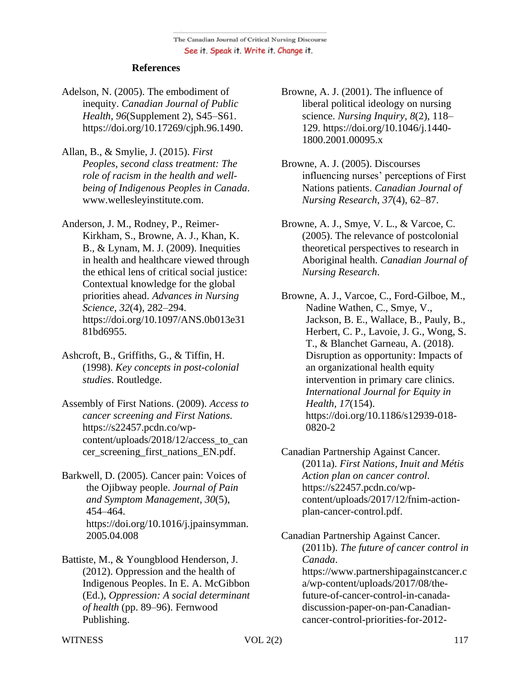### **References**

- Adelson, N. (2005). The embodiment of inequity. *Canadian Journal of Public Health*, *96*(Supplement 2), S45–S61. https://doi.org/10.17269/cjph.96.1490.
- Allan, B., & Smylie, J. (2015). *First Peoples, second class treatment: The role of racism in the health and wellbeing of Indigenous Peoples in Canada*. www.wellesleyinstitute.com.
- Anderson, J. M., Rodney, P., Reimer-Kirkham, S., Browne, A. J., Khan, K. B., & Lynam, M. J. (2009). Inequities in health and healthcare viewed through the ethical lens of critical social justice: Contextual knowledge for the global priorities ahead. *Advances in Nursing Science*, *32*(4), 282–294. https://doi.org/10.1097/ANS.0b013e31 81bd6955.
- Ashcroft, B., Griffiths, G., & Tiffin, H. (1998). *Key concepts in post-colonial studies*. Routledge.
- Assembly of First Nations. (2009). *Access to cancer screening and First Nations.* https://s22457.pcdn.co/wpcontent/uploads/2018/12/access\_to\_can cer\_screening\_first\_nations\_EN.pdf.
- Barkwell, D. (2005). Cancer pain: Voices of the Ojibway people. *Journal of Pain and Symptom Management*, *30*(5), 454–464. https://doi.org/10.1016/j.jpainsymman. 2005.04.008
- Battiste, M., & Youngblood Henderson, J. (2012). Oppression and the health of Indigenous Peoples. In E. A. McGibbon (Ed.), *Oppression: A social determinant of health* (pp. 89–96). Fernwood Publishing.
- Browne, A. J. (2001). The influence of liberal political ideology on nursing science. *Nursing Inquiry*, *8*(2), 118– 129. https://doi.org/10.1046/j.1440- 1800.2001.00095.x
- Browne, A. J. (2005). Discourses influencing nurses' perceptions of First Nations patients. *Canadian Journal of Nursing Research*, *37*(4), 62–87.
- Browne, A. J., Smye, V. L., & Varcoe, C. (2005). The relevance of postcolonial theoretical perspectives to research in Aboriginal health. *Canadian Journal of Nursing Research*.
- Browne, A. J., Varcoe, C., Ford-Gilboe, M., Nadine Wathen, C., Smye, V., Jackson, B. E., Wallace, B., Pauly, B., Herbert, C. P., Lavoie, J. G., Wong, S. T., & Blanchet Garneau, A. (2018). Disruption as opportunity: Impacts of an organizational health equity intervention in primary care clinics. *International Journal for Equity in Health*, *17*(154). https://doi.org/10.1186/s12939-018- 0820-2
- Canadian Partnership Against Cancer. (2011a). *First Nations, Inuit and Métis Action plan on cancer control*. https://s22457.pcdn.co/wpcontent/uploads/2017/12/fnim-actionplan-cancer-control.pdf.

Canadian Partnership Against Cancer. (2011b). *The future of cancer control in Canada*. https://www.partnershipagainstcancer.c a/wp-content/uploads/2017/08/thefuture-of-cancer-control-in-canadadiscussion-paper-on-pan-Canadiancancer-control-priorities-for-2012-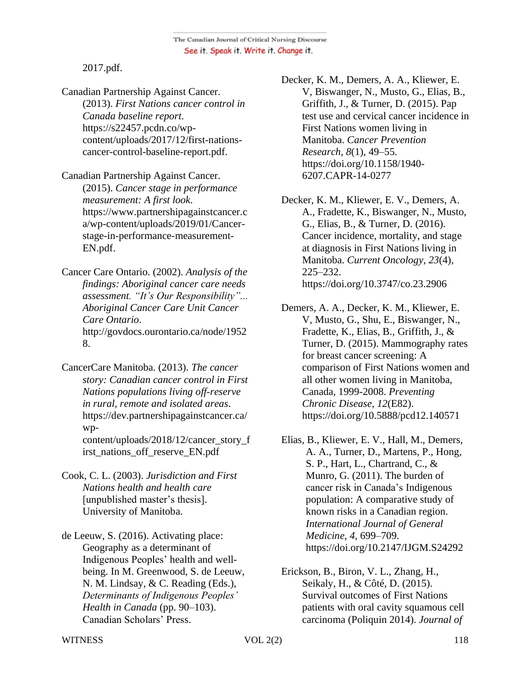2017.pdf.

Canadian Partnership Against Cancer. (2013). *First Nations cancer control in Canada baseline report*. https://s22457.pcdn.co/wpcontent/uploads/2017/12/first-nationscancer-control-baseline-report.pdf.

Canadian Partnership Against Cancer. (2015). *Cancer stage in performance measurement: A first look*. https://www.partnershipagainstcancer.c a/wp-content/uploads/2019/01/Cancerstage-in-performance-measurement-EN.pdf.

Cancer Care Ontario. (2002). *Analysis of the findings: Aboriginal cancer care needs assessment. "It's Our Responsibility"... Aboriginal Cancer Care Unit Cancer Care Ontario*. http://govdocs.ourontario.ca/node/1952 8.

CancerCare Manitoba. (2013). *The cancer story: Canadian cancer control in First Nations populations living off-reserve in rural, remote and isolated areas*. https://dev.partnershipagainstcancer.ca/ wpcontent/uploads/2018/12/cancer\_story\_f irst\_nations\_off\_reserve\_EN.pdf

- Cook, C. L. (2003). *Jurisdiction and First Nations health and health care* [unpublished master's thesis]. University of Manitoba.
- de Leeuw, S. (2016). Activating place: Geography as a determinant of Indigenous Peoples' health and wellbeing. In M. Greenwood, S. de Leeuw, N. M. Lindsay, & C. Reading (Eds.), *Determinants of Indigenous Peoples' Health in Canada* (pp. 90–103). Canadian Scholars' Press.

Decker, K. M., Demers, A. A., Kliewer, E. V, Biswanger, N., Musto, G., Elias, B., Griffith, J., & Turner, D. (2015). Pap test use and cervical cancer incidence in First Nations women living in Manitoba. *Cancer Prevention Research*, *8*(1), 49–55. https://doi.org/10.1158/1940- 6207.CAPR-14-0277

Decker, K. M., Kliewer, E. V., Demers, A. A., Fradette, K., Biswanger, N., Musto, G., Elias, B., & Turner, D. (2016). Cancer incidence, mortality, and stage at diagnosis in First Nations living in Manitoba. *Current Oncology*, *23*(4), 225–232. https://doi.org/10.3747/co.23.2906

Demers, A. A., Decker, K. M., Kliewer, E. V, Musto, G., Shu, E., Biswanger, N., Fradette, K., Elias, B., Griffith, J., & Turner, D. (2015). Mammography rates for breast cancer screening: A comparison of First Nations women and all other women living in Manitoba, Canada, 1999-2008. *Preventing Chronic Disease*, *12*(E82). https://doi.org/10.5888/pcd12.140571

Elias, B., Kliewer, E. V., Hall, M., Demers, A. A., Turner, D., Martens, P., Hong, S. P., Hart, L., Chartrand, C., & Munro, G. (2011). The burden of cancer risk in Canada's Indigenous population: A comparative study of known risks in a Canadian region. *International Journal of General Medicine*, *4*, 699–709. https://doi.org/10.2147/IJGM.S24292

Erickson, B., Biron, V. L., Zhang, H., Seikaly, H., & Côté, D. (2015). Survival outcomes of First Nations patients with oral cavity squamous cell carcinoma (Poliquin 2014). *Journal of*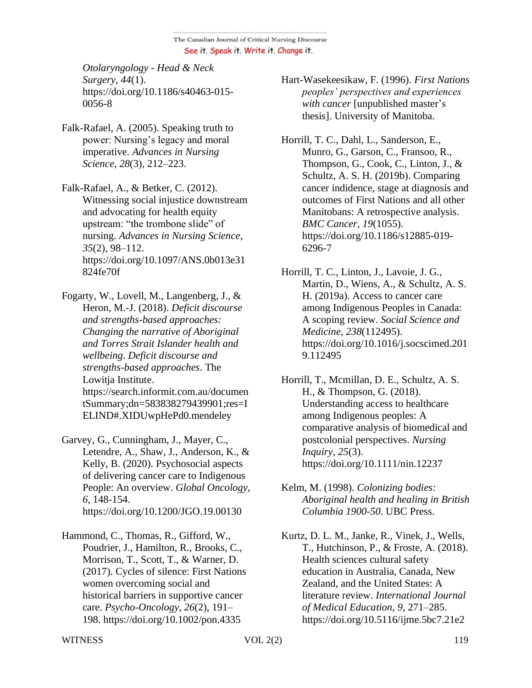*Otolaryngology - Head & Neck Surgery*, *44*(1). https://doi.org/10.1186/s40463-015- 0056-8

Falk-Rafael, A. (2005). Speaking truth to power: Nursing's legacy and moral imperative. *Advances in Nursing Science*, *28*(3), 212–223.

Falk-Rafael, A., & Betker, C. (2012). Witnessing social injustice downstream and advocating for health equity upstream: "the trombone slide" of nursing. *Advances in Nursing Science*, *35*(2), 98–112. https://doi.org/10.1097/ANS.0b013e31 824fe70f

Fogarty, W., Lovell, M., Langenberg, J., & Heron, M.-J. (2018). *Deficit discourse and strengths-based approaches: Changing the narrative of Aboriginal and Torres Strait Islander health and wellbeing*. *Deficit discourse and strengths-based approaches*. The Lowitja Institute. https://search.informit.com.au/documen tSummary;dn=583838279439901;res=I ELIND#.XIDUwpHePd0.mendeley

Garvey, G., Cunningham, J., Mayer, C., Letendre, A., Shaw, J., Anderson, K., & Kelly, B. (2020). Psychosocial aspects of delivering cancer care to Indigenous People: An overview. *Global Oncology, 6,* 148-154. https://doi.org/10.1200/JGO.19.00130

Hammond, C., Thomas, R., Gifford, W., Poudrier, J., Hamilton, R., Brooks, C., Morrison, T., Scott, T., & Warner, D. (2017). Cycles of silence: First Nations women overcoming social and historical barriers in supportive cancer care. *Psycho-Oncology*, *26*(2), 191– 198. https://doi.org/10.1002/pon.4335

Hart-Wasekeesikaw, F. (1996). *First Nations peoples' perspectives and experiences with cancer* [unpublished master's thesis]. University of Manitoba.

Horrill, T. C., Dahl, L., Sanderson, E., Munro, G., Garson, C., Fransoo, R., Thompson, G., Cook, C., Linton, J., & Schultz, A. S. H. (2019b). Comparing cancer indidence, stage at diagnosis and outcomes of First Nations and all other Manitobans: A retrospective analysis. *BMC Cancer*, *19*(1055). https://doi.org/10.1186/s12885-019- 6296-7

Horrill, T. C., Linton, J., Lavoie, J. G., Martin, D., Wiens, A., & Schultz, A. S. H. (2019a). Access to cancer care among Indigenous Peoples in Canada: A scoping review. *Social Science and Medicine*, *238*(112495). https://doi.org/10.1016/j.socscimed.201 9.112495

Horrill, T., Mcmillan, D. E., Schultz, A. S. H., & Thompson, G. (2018). Understanding access to healthcare among Indigenous peoples: A comparative analysis of biomedical and postcolonial perspectives. *Nursing Inquiry*, *25*(3). https://doi.org/10.1111/nin.12237

- Kelm, M. (1998). *Colonizing bodies: Aboriginal health and healing in British Columbia 1900-50*. UBC Press.
- Kurtz, D. L. M., Janke, R., Vinek, J., Wells, T., Hutchinson, P., & Froste, A. (2018). Health sciences cultural safety education in Australia, Canada, New Zealand, and the United States: A literature review. *International Journal of Medical Education*, *9*, 271–285. https://doi.org/10.5116/ijme.5bc7.21e2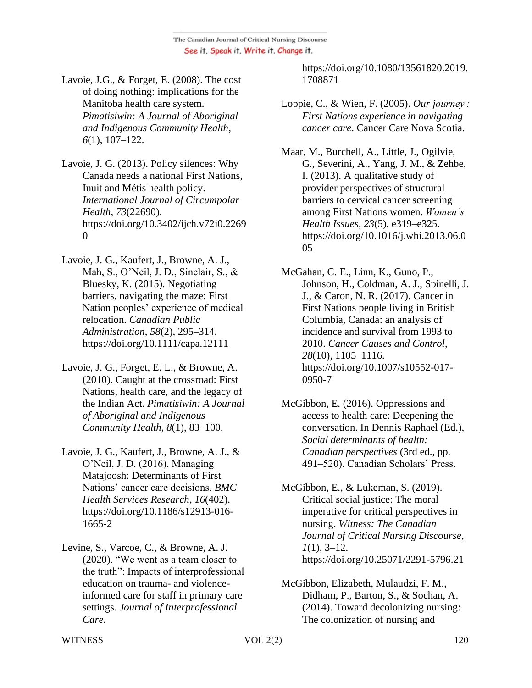Lavoie, J.G., & Forget, E. (2008). The cost of doing nothing: implications for the Manitoba health care system. *Pimatisiwin: A Journal of Aboriginal and Indigenous Community Health*, *6*(1), 107–122.

Lavoie, J. G. (2013). Policy silences: Why Canada needs a national First Nations, Inuit and Métis health policy. *International Journal of Circumpolar Health*, *73*(22690). https://doi.org/10.3402/ijch.v72i0.2269  $\Omega$ 

- Lavoie, J. G., Kaufert, J., Browne, A. J., Mah, S., O'Neil, J. D., Sinclair, S., & Bluesky, K. (2015). Negotiating barriers, navigating the maze: First Nation peoples' experience of medical relocation. *Canadian Public Administration*, *58*(2), 295–314. https://doi.org/10.1111/capa.12111
- Lavoie, J. G., Forget, E. L., & Browne, A. (2010). Caught at the crossroad: First Nations, health care, and the legacy of the Indian Act. *Pimatisiwin: A Journal of Aboriginal and Indigenous Community Health*, *8*(1), 83–100.
- Lavoie, J. G., Kaufert, J., Browne, A. J., & O'Neil, J. D. (2016). Managing Matajoosh: Determinants of First Nations' cancer care decisions. *BMC Health Services Research*, *16*(402). https://doi.org/10.1186/s12913-016- 1665-2
- Levine, S., Varcoe, C., & Browne, A. J. (2020). "We went as a team closer to the truth": Impacts of interprofessional education on trauma- and violenceinformed care for staff in primary care settings. *Journal of Interprofessional Care*.

https://doi.org/10.1080/13561820.2019. 1708871

Loppie, C., & Wien, F. (2005). *Our journey : First Nations experience in navigating cancer care*. Cancer Care Nova Scotia.

Maar, M., Burchell, A., Little, J., Ogilvie, G., Severini, A., Yang, J. M., & Zehbe, I. (2013). A qualitative study of provider perspectives of structural barriers to cervical cancer screening among First Nations women. *Women's Health Issues*, *23*(5), e319–e325. https://doi.org/10.1016/j.whi.2013.06.0 05

- McGahan, C. E., Linn, K., Guno, P., Johnson, H., Coldman, A. J., Spinelli, J. J., & Caron, N. R. (2017). Cancer in First Nations people living in British Columbia, Canada: an analysis of incidence and survival from 1993 to 2010. *Cancer Causes and Control*, *28*(10), 1105–1116. https://doi.org/10.1007/s10552-017- 0950-7
- McGibbon, E. (2016). Oppressions and access to health care: Deepening the conversation. In Dennis Raphael (Ed.), *Social determinants of health: Canadian perspectives* (3rd ed., pp. 491–520). Canadian Scholars' Press.

McGibbon, E., & Lukeman, S. (2019). Critical social justice: The moral imperative for critical perspectives in nursing. *Witness: The Canadian Journal of Critical Nursing Discourse*, *1*(1), 3–12. https://doi.org/10.25071/2291-5796.21

McGibbon, Elizabeth, Mulaudzi, F. M., Didham, P., Barton, S., & Sochan, A. (2014). Toward decolonizing nursing: The colonization of nursing and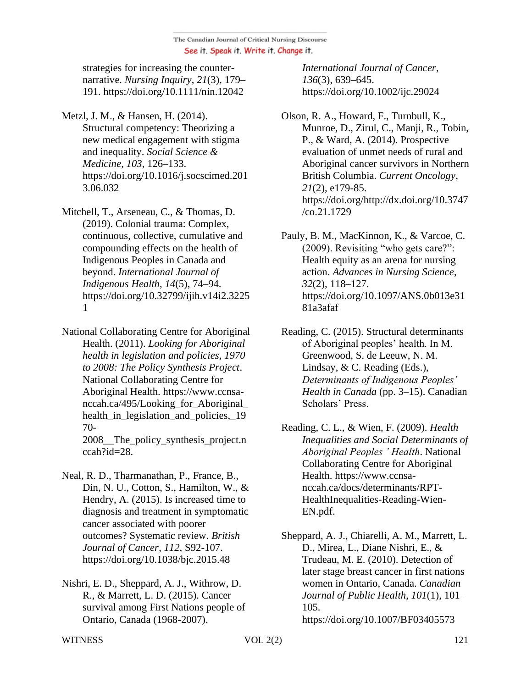strategies for increasing the counternarrative. *Nursing Inquiry*, *21*(3), 179– 191. https://doi.org/10.1111/nin.12042

- Metzl, J. M., & Hansen, H. (2014). Structural competency: Theorizing a new medical engagement with stigma and inequality. *Social Science & Medicine*, *103*, 126–133. https://doi.org/10.1016/j.socscimed.201 3.06.032
- Mitchell, T., Arseneau, C., & Thomas, D. (2019). Colonial trauma: Complex, continuous, collective, cumulative and compounding effects on the health of Indigenous Peoples in Canada and beyond. *International Journal of Indigenous Health*, *14*(5), 74–94. https://doi.org/10.32799/ijih.v14i2.3225 1
- National Collaborating Centre for Aboriginal Health. (2011). *Looking for Aboriginal health in legislation and policies, 1970 to 2008: The Policy Synthesis Project*. National Collaborating Centre for Aboriginal Health. https://www.ccnsanccah.ca/495/Looking for Aboriginal health\_in\_legislation\_and\_policies,\_19 70-

2008\_\_The\_policy\_synthesis\_project.n ccah?id=28.

- Neal, R. D., Tharmanathan, P., France, B., Din, N. U., Cotton, S., Hamilton, W., & Hendry, A. (2015). Is increased time to diagnosis and treatment in symptomatic cancer associated with poorer outcomes? Systematic review. *British Journal of Cancer*, *112*, S92-107. https://doi.org/10.1038/bjc.2015.48
- Nishri, E. D., Sheppard, A. J., Withrow, D. R., & Marrett, L. D. (2015). Cancer survival among First Nations people of Ontario, Canada (1968-2007).

*International Journal of Cancer*, *136*(3), 639–645. https://doi.org/10.1002/ijc.29024

- Olson, R. A., Howard, F., Turnbull, K., Munroe, D., Zirul, C., Manji, R., Tobin, P., & Ward, A. (2014). Prospective evaluation of unmet needs of rural and Aboriginal cancer survivors in Northern British Columbia. *Current Oncology*, *21*(2), e179-85. https://doi.org/http://dx.doi.org/10.3747 /co.21.1729
- Pauly, B. M., MacKinnon, K., & Varcoe, C. (2009). Revisiting "who gets care?": Health equity as an arena for nursing action. *Advances in Nursing Science*, *32*(2), 118–127. https://doi.org/10.1097/ANS.0b013e31 81a3afaf
- Reading, C. (2015). Structural determinants of Aboriginal peoples' health. In M. Greenwood, S. de Leeuw, N. M. Lindsay, & C. Reading (Eds.), *Determinants of Indigenous Peoples' Health in Canada* (pp. 3–15). Canadian Scholars' Press.
- Reading, C. L., & Wien, F. (2009). *Health Inequalities and Social Determinants of Aboriginal Peoples ' Health*. National Collaborating Centre for Aboriginal Health. https://www.ccnsanccah.ca/docs/determinants/RPT-HealthInequalities-Reading-Wien-EN.pdf.

Sheppard, A. J., Chiarelli, A. M., Marrett, L. D., Mirea, L., Diane Nishri, E., & Trudeau, M. E. (2010). Detection of later stage breast cancer in first nations women in Ontario, Canada. *Canadian Journal of Public Health*, *101*(1), 101– 105. https://doi.org/10.1007/BF03405573

WITNESS  $VOL 2(2)$  121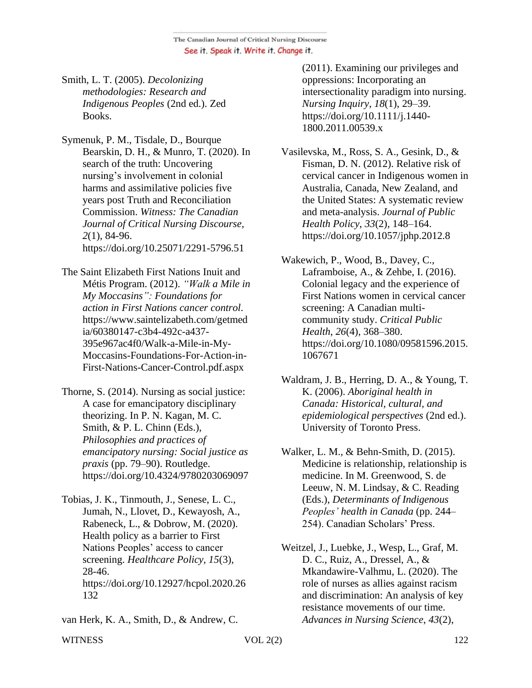Smith, L. T. (2005). *Decolonizing methodologies: Research and Indigenous Peoples* (2nd ed.). Zed Books.

Symenuk, P. M., Tisdale, D., Bourque Bearskin, D. H., & Munro, T. (2020). In search of the truth: Uncovering nursing's involvement in colonial harms and assimilative policies five years post Truth and Reconciliation Commission. *Witness: The Canadian Journal of Critical Nursing Discourse, 2*(1), 84-96. https://doi.org/10.25071/2291-5796.51

The Saint Elizabeth First Nations Inuit and Métis Program. (2012). *"Walk a Mile in My Moccasins": Foundations for action in First Nations cancer control*. https://www.saintelizabeth.com/getmed ia/60380147-c3b4-492c-a437- 395e967ac4f0/Walk-a-Mile-in-My-Moccasins-Foundations-For-Action-in-First-Nations-Cancer-Control.pdf.aspx

- Thorne, S. (2014). Nursing as social justice: A case for emancipatory disciplinary theorizing. In P. N. Kagan, M. C. Smith, & P. L. Chinn (Eds.), *Philosophies and practices of emancipatory nursing: Social justice as praxis* (pp. 79–90). Routledge. https://doi.org/10.4324/9780203069097
- Tobias, J. K., Tinmouth, J., Senese, L. C., Jumah, N., Llovet, D., Kewayosh, A., Rabeneck, L., & Dobrow, M. (2020). Health policy as a barrier to First Nations Peoples' access to cancer screening. *Healthcare Policy, 15*(3), 28-46. https://doi.org/10.12927/hcpol.2020.26 132

van Herk, K. A., Smith, D., & Andrew, C.

(2011). Examining our privileges and oppressions: Incorporating an intersectionality paradigm into nursing. *Nursing Inquiry*, *18*(1), 29–39. https://doi.org/10.1111/j.1440- 1800.2011.00539.x

Vasilevska, M., Ross, S. A., Gesink, D., & Fisman, D. N. (2012). Relative risk of cervical cancer in Indigenous women in Australia, Canada, New Zealand, and the United States: A systematic review and meta-analysis. *Journal of Public Health Policy*, *33*(2), 148–164. https://doi.org/10.1057/jphp.2012.8

Wakewich, P., Wood, B., Davey, C., Laframboise, A., & Zehbe, I. (2016). Colonial legacy and the experience of First Nations women in cervical cancer screening: A Canadian multicommunity study. *Critical Public Health*, *26*(4), 368–380. https://doi.org/10.1080/09581596.2015. 1067671

Waldram, J. B., Herring, D. A., & Young, T. K. (2006). *Aboriginal health in Canada: Historical, cultural, and epidemiological perspectives* (2nd ed.). University of Toronto Press.

- Walker, L. M., & Behn-Smith, D. (2015). Medicine is relationship, relationship is medicine. In M. Greenwood, S. de Leeuw, N. M. Lindsay, & C. Reading (Eds.), *Determinants of Indigenous Peoples' health in Canada* (pp. 244– 254). Canadian Scholars' Press.
- Weitzel, J., Luebke, J., Wesp, L., Graf, M. D. C., Ruiz, A., Dressel, A., & Mkandawire-Valhmu, L. (2020). The role of nurses as allies against racism and discrimination: An analysis of key resistance movements of our time. *Advances in Nursing Science*, *43*(2),